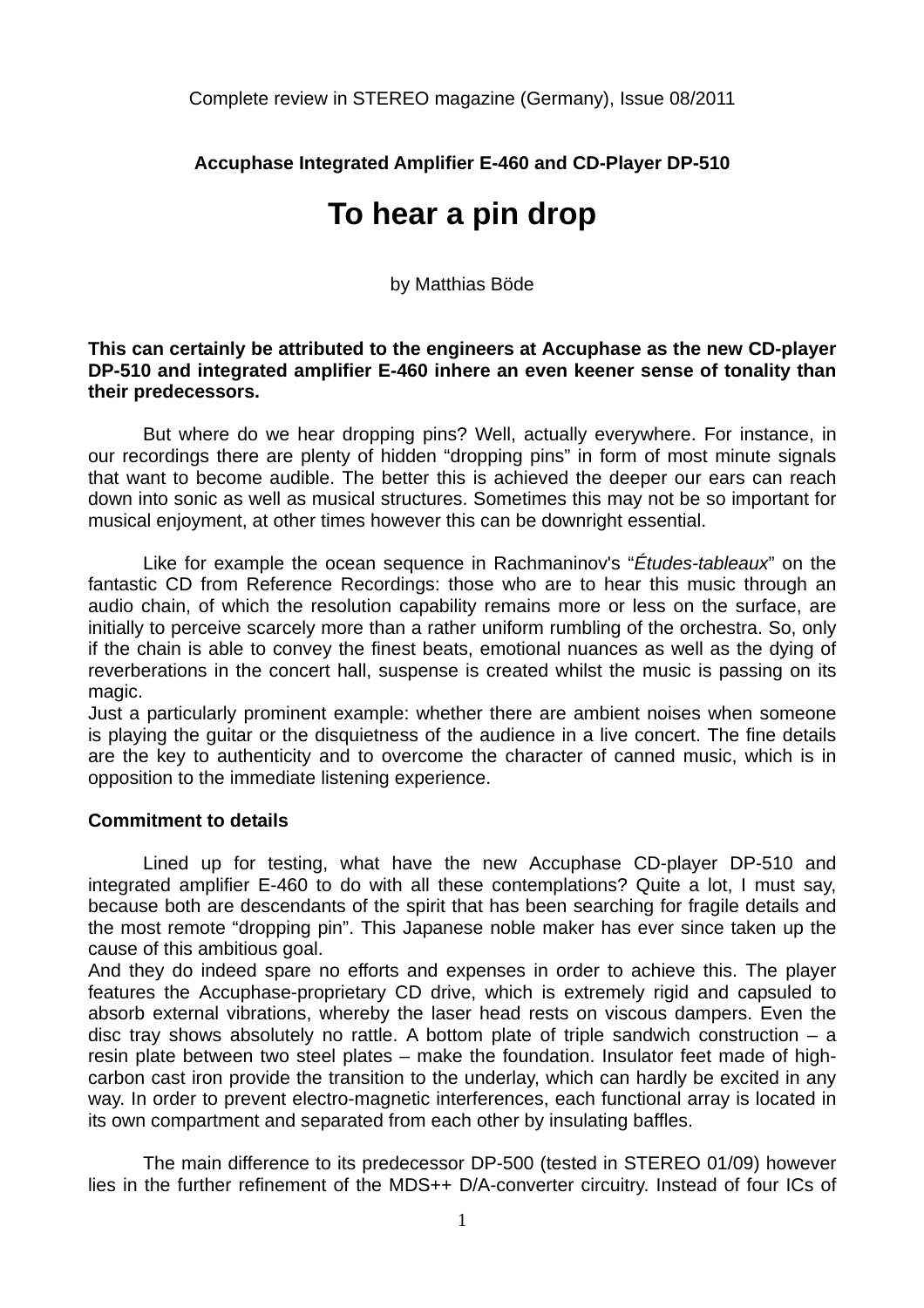Complete review in STEREO magazine (Germany), Issue 08/2011

**Accuphase Integrated Amplifier E-460 and CD-Player DP-510** 

## **To hear a pin drop**

by Matthias Böde

**This can certainly be attributed to the engineers at Accuphase as the new CD-player DP-510 and integrated amplifier E-460 inhere an even keener sense of tonality than their predecessors.** 

 But where do we hear dropping pins? Well, actually everywhere. For instance, in our recordings there are plenty of hidden "dropping pins" in form of most minute signals that want to become audible. The better this is achieved the deeper our ears can reach down into sonic as well as musical structures. Sometimes this may not be so important for musical enjoyment, at other times however this can be downright essential.

 Like for example the ocean sequence in Rachmaninov's "*Études-tableaux*" on the fantastic CD from Reference Recordings: those who are to hear this music through an audio chain, of which the resolution capability remains more or less on the surface, are initially to perceive scarcely more than a rather uniform rumbling of the orchestra. So, only if the chain is able to convey the finest beats, emotional nuances as well as the dying of reverberations in the concert hall, suspense is created whilst the music is passing on its magic.

Just a particularly prominent example: whether there are ambient noises when someone is playing the guitar or the disquietness of the audience in a live concert. The fine details are the key to authenticity and to overcome the character of canned music, which is in opposition to the immediate listening experience.

## **Commitment to details**

 Lined up for testing, what have the new Accuphase CD-player DP-510 and integrated amplifier E-460 to do with all these contemplations? Quite a lot, I must say, because both are descendants of the spirit that has been searching for fragile details and the most remote "dropping pin". This Japanese noble maker has ever since taken up the cause of this ambitious goal.

And they do indeed spare no efforts and expenses in order to achieve this. The player features the Accuphase-proprietary CD drive, which is extremely rigid and capsuled to absorb external vibrations, whereby the laser head rests on viscous dampers. Even the disc tray shows absolutely no rattle. A bottom plate of triple sandwich construction – a resin plate between two steel plates – make the foundation. Insulator feet made of highcarbon cast iron provide the transition to the underlay, which can hardly be excited in any way. In order to prevent electro-magnetic interferences, each functional array is located in its own compartment and separated from each other by insulating baffles.

 The main difference to its predecessor DP-500 (tested in STEREO 01/09) however lies in the further refinement of the MDS++ D/A-converter circuitry. Instead of four ICs of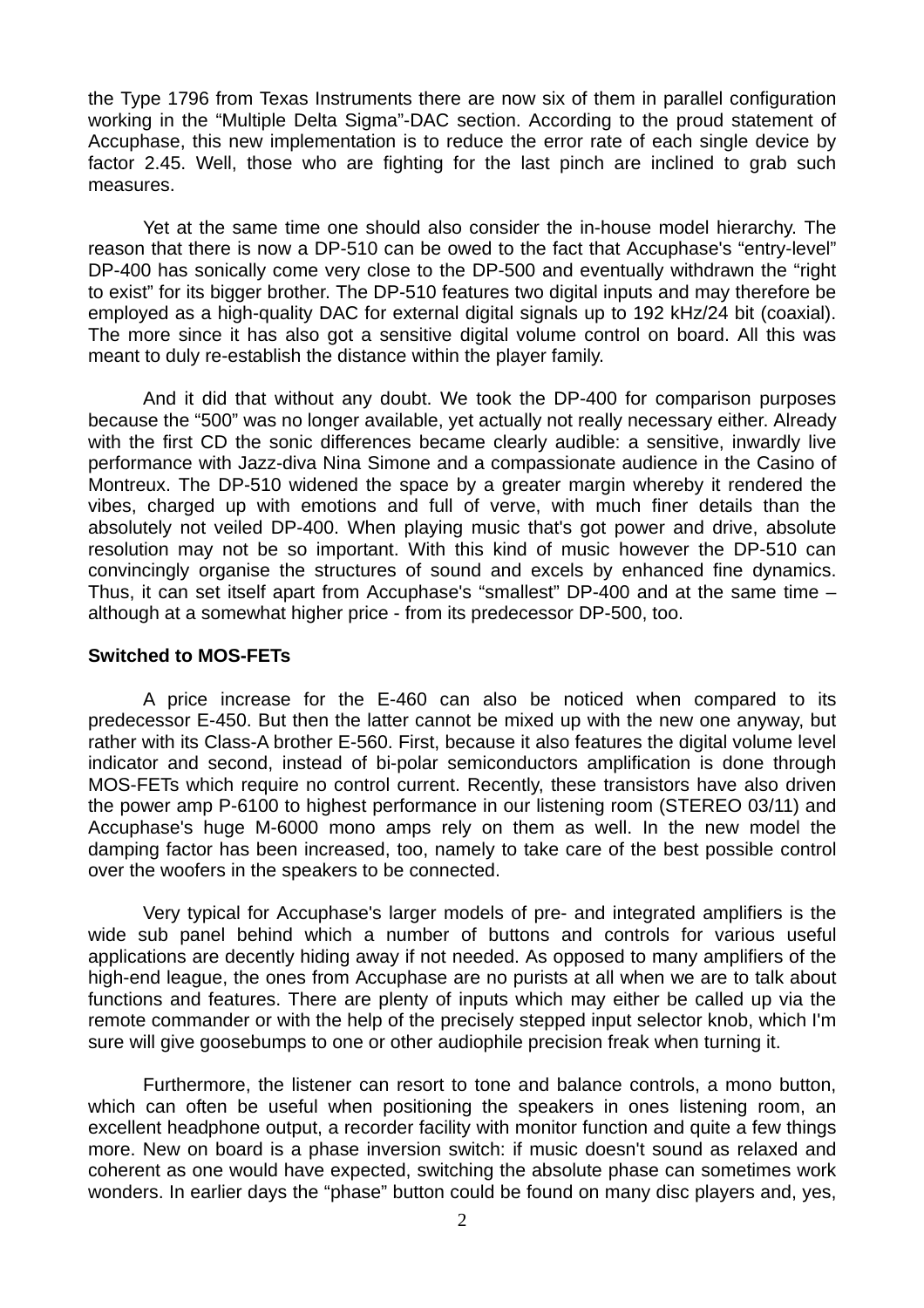the Type 1796 from Texas Instruments there are now six of them in parallel configuration working in the "Multiple Delta Sigma"-DAC section. According to the proud statement of Accuphase, this new implementation is to reduce the error rate of each single device by factor 2.45. Well, those who are fighting for the last pinch are inclined to grab such measures.

 Yet at the same time one should also consider the in-house model hierarchy. The reason that there is now a DP-510 can be owed to the fact that Accuphase's "entry-level" DP-400 has sonically come very close to the DP-500 and eventually withdrawn the "right to exist" for its bigger brother. The DP-510 features two digital inputs and may therefore be employed as a high-quality DAC for external digital signals up to 192 kHz/24 bit (coaxial). The more since it has also got a sensitive digital volume control on board. All this was meant to duly re-establish the distance within the player family.

 And it did that without any doubt. We took the DP-400 for comparison purposes because the "500" was no longer available, yet actually not really necessary either. Already with the first CD the sonic differences became clearly audible: a sensitive, inwardly live performance with Jazz-diva Nina Simone and a compassionate audience in the Casino of Montreux. The DP-510 widened the space by a greater margin whereby it rendered the vibes, charged up with emotions and full of verve, with much finer details than the absolutely not veiled DP-400. When playing music that's got power and drive, absolute resolution may not be so important. With this kind of music however the DP-510 can convincingly organise the structures of sound and excels by enhanced fine dynamics. Thus, it can set itself apart from Accuphase's "smallest" DP-400 and at the same time – although at a somewhat higher price - from its predecessor DP-500, too.

## **Switched to MOS-FETs**

 A price increase for the E-460 can also be noticed when compared to its predecessor E-450. But then the latter cannot be mixed up with the new one anyway, but rather with its Class-A brother E-560. First, because it also features the digital volume level indicator and second, instead of bi-polar semiconductors amplification is done through MOS-FETs which require no control current. Recently, these transistors have also driven the power amp P-6100 to highest performance in our listening room (STEREO 03/11) and Accuphase's huge M-6000 mono amps rely on them as well. In the new model the damping factor has been increased, too, namely to take care of the best possible control over the woofers in the speakers to be connected.

 Very typical for Accuphase's larger models of pre- and integrated amplifiers is the wide sub panel behind which a number of buttons and controls for various useful applications are decently hiding away if not needed. As opposed to many amplifiers of the high-end league, the ones from Accuphase are no purists at all when we are to talk about functions and features. There are plenty of inputs which may either be called up via the remote commander or with the help of the precisely stepped input selector knob, which I'm sure will give goosebumps to one or other audiophile precision freak when turning it.

 Furthermore, the listener can resort to tone and balance controls, a mono button, which can often be useful when positioning the speakers in ones listening room, an excellent headphone output, a recorder facility with monitor function and quite a few things more. New on board is a phase inversion switch: if music doesn't sound as relaxed and coherent as one would have expected, switching the absolute phase can sometimes work wonders. In earlier days the "phase" button could be found on many disc players and, yes,